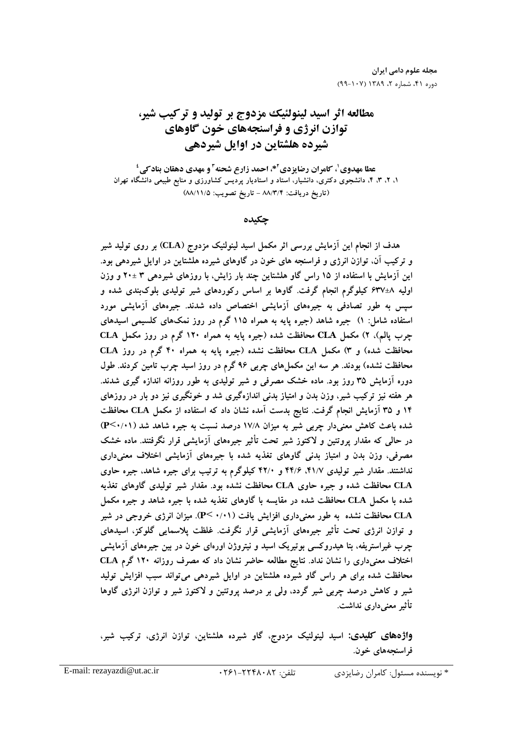مجله علوم دامی ایران دوره ۴۱، شماره ۲، ۱۳۸۹ (۱۰۷-۹۹)

# مطالعه اثر اسید لینولئیک مزدوج بر تولید و تر کیب شیر، توازن انرژی و فراسنجههای خون گاوهای شیرده هلشتاین در اوایل شیردهی

عطا مهدوی <sup>۱</sup>، کامران رضایزدی<sup>۲ \*،</sup> احمد زارع شحنه<sup>۲</sup> و مهدی دهقان بناد *ک*ی ٔ ۱، ۲، ۳، ۴، دانشجوی دکتری، دانشیار، استاد و استادیار پردیس کشاورزی و منابع طبیعی دانشگاه تهران (تاريخ دريافت: ٨٨/٣/٤ - تاريخ تصويب: ٨٨/١١/٥)

حكىدە

هدف از انجام این آزمایش بررسی اثر مکمل اسید لینولئیک مزدوج (CLA) بر روی تولید شیر و ترکیب آن، توازن انرژی و فراسنجه های خون در گاوهای شیرده هلشتاین در اوایل شیردهی بود. این آزمایش با استفاده از ۱۵ راس گاو هلشتاین چند بار زایش، با روزهای شیردهی ۳ ±۲۰ و وزن اولیه ۸±۶۳۷ کیلوگرم انجام گرفت. گاوها بر اساس رکوردهای شیر تولیدی بلوکبندی شده و سیس به طور تصادفی به جیرههای آزمایشی اختصاص داده شدند. جیرههای آزمایشی مورد استفاده شامل: ۱) جیره شاهد (جیره پایه به همراه ۱۱۵ گرم در روز نمکهای کلسیمی اسیدهای چرب یالم)، ۲) مکمل CLA محافظت شده (جیره پایه به همراه ۱۲۰ گرم در روز مکمل CLA محافظت شده) و ۳) مکمل CLA محافظت نشده (جیره یایه به همراه ۴۰ گرم در روز CLA محافظت نشده) بودند. هر سه این مکملهای چربی ۹۶ گرم در روز اسید چرب تامین کردند. طول دوره آزمایش ۳۵ روز بود. ماده خشک مصرفی و شیر تولیدی به طور روزانه اندازه گیری شدند. هر هفته نیز ترکیب شیر، وزن بدن و امتیاز بدنی اندازهگیری شد و خونگیری نیز دو بار در روزهای ۱۴ و ۳۵ آزمایش انجام گرفت. نتایج بدست آمده نشان داد که استفاده از مکمل CLA محافظت شده باعث کاهش معنیدار چربی شیر به میزان ۱۷/۸ درصد نسبت به جیره شاهد شد (۱۰۱/۰) در حالی که مقدار بروتئین و لاکتوز شیر تحت تأثیر جیرههای آزمایشی قرار نگرفتند. ماده خشک مصرفی، وزن بدن و امتیاز بدنی گاوهای تغذیه شده با جیرههای آزمایشی اختلاف معنیداری نداشتند. مقدار شیر تولیدی ۴۱/۷، ۴۲/۶ و ۴۲/۰ کیلوگرم به ترتیب برای جیره شاهد، جیره حاوی CLA محافظت شده و جیره حاوی CLA محافظت نشده بود. مقدار شیر تولیدی گاوهای تغذیه شده با مکمل CLA محافظت شده در مقایسه با گاوهای تغذیه شده با جیره شاهد و جیره مکمل CLA محافظت نشده به طور معنیداری افزایش یافت (۰/۰۱- P<). میزان انرژی خروجی در شیر و توازن انرژی تحت تأثیر جیرههای آزمایشی قرار نگرفت. غلظت پلاسمایی گلوکز، اسیدهای چرب غیراستریفه، بتا هیدروکسی بوتیریک اسید و نیتروژن اورهای خون در بین جیرههای اَزمایشی اختلاف معنیداری را نشان نداد. نتایج مطالعه حاضر نشان داد که مصرف روزانه ۱۲۰ گرم CLA محافظت شده برای هر راس گاو شیرده هلشتاین در اوایل شیردهی میتواند سبب افزایش تولید شیر و کاهش درصد چربی شیر گردد، ولی بر درصد پروتئین و لاکتوز شیر و توازن انرژی گاوها تأثیر معنے داری نداشت.

**واژدهای کلیدی:** اسید لینولئیک مزدوج، گاو شیرده هلشتاین، توازن انرژی، ترکیب شیر، فراسنجەھاي خون.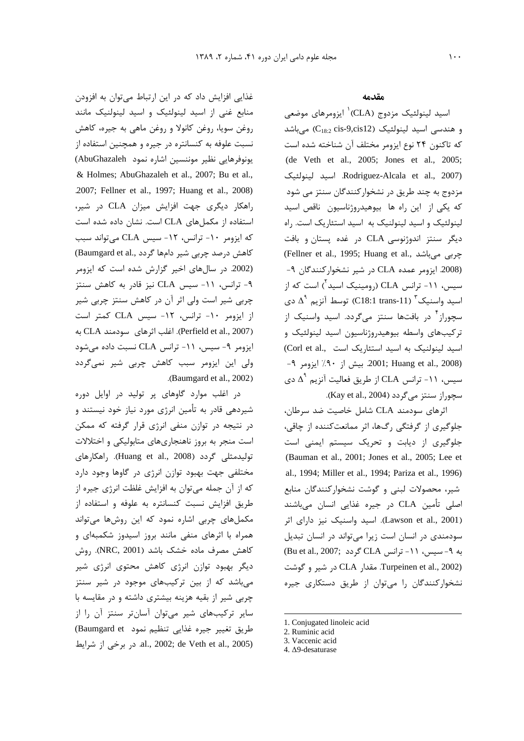غذایی افزایش داد که در این ارتباط میتوان به افزودن منابع غنی از اسید لینولئیک و اسید لینولنیک مانند روغن سويا، روغن كانولا و روغن ماهي به جيره، كاهش نسبت علوفه به کنسانتره در جیره و همچنین استفاده از یونوفرهایی نظیر موننسین اشاره نمود AbuGhazaleh) & Holmes; AbuGhazaleh et al., 2007; Bu et al., .2007; Fellner et al., 1997; Huang et al., 2008) راهكار ديگرى جهت افزايش ميزان CLA در شير، استفاده از مکملهای CLA است. نشان داده شده است كه ايزومر ١٠- ترانس، ١٢- سيس CLA مي تواند سبب کاهش درصد چربی شیر دامها گردد ,Baumgard et al) (2002. در سال های اخیر گزارش شده است که ایزومر ۹- ترانس، ۱۱- سیس CLA نیز قادر به کاهش سنتز چربی شیر است ولی اثر آن در کاهش سنتز چربی شیر از ایزومر ١٠- ترانس، ١٢- سیس CLA كمتر است (Perfield et al., 2007). اغلب اثرهای سودمند CLA به ایزومر ۹- سیس، ۱۱- ترانس CLA نسبت داده میشود ولی این ایزومر سبب کاهش چربی شیر نمی گردد .(Baumgard et al., 2002)

در اغلب موارد گاوهای پر تولید در اوایل دوره شیردهی قادر به تأمین انرژی مورد نیاز خود نیستند و در نتیجه در توازن منفی انرژی قرار گرفته که ممکن است منجر به بروز ناهنجاریهای متابولیکی و اختلالات تولیدمثلی گردد (Huang et al., 2008). راهکارهای مختلفی جهت بهبود توازن انرژی در گاوها وجود دارد که از آن جمله میتوان به افزایش غلظت انرژی جیره از طريق افزايش نسبت كنسانتره به علوفه و استفاده از مکملهای چربی اشاره نمود که این روشها میتواند همراه با اثرهای منفی مانند بروز اسیدوز شکمبهای و كاهش مصرف ماده خشك باشد (NRC, 2001). روش دیگر بهبود توازن انرژی کاهش محتوی انرژی شیر می باشد که از بین ترکیبهای موجود در شیر سنتز چربی شیر از بقیه هزینه بیشتری داشته و در مقایسه با سایر ترکیبهای شیر میتوان آسانتر سنتز آن را از طريق تغيير جيره غذايي تنظيم نمود Baumgard et) .al., 2002; de Veth et al., 2005). در برخی از شرایط

#### مقدمه

اسید لینولئیک مزدوج (CLA)<sup>۱</sup> ایزومرهای موضعی و هندسی اسید لینولئیک (C<sub>18:2</sub> cis-9,cis12) میباشد كه تاكنون ٢۴ نوع ايزومر مختلف آن شناخته شده است (de Veth et al., 2005; Jones et al., 2005; Rodriguez-Alcala et al., 2007). اسيد لينولئيک مزدوج به چند طریق در نشخوارکنندگان سنتز می شود که یکی از این راه ها بیوهیدروژناسیون ناقص اسید لینولئیک و اسید لینولنیک به اسید استئاریک است. راه دیگر سنتز اندوژنوسی CLA در غده پستان و بافت (Fellner et al., 1995; Huang et al., جربی میباشد (2008. ایزومر عمده CLA در شیر نشخوارکنندگان ۹-سیس، ۱۱- ترانس CLA (رومینیک اسید<sup>۲</sup>) است که از اسید واسنیک ۳ (C18:1 trans-11) توسط آنزیم ۵<sup>۹</sup> دی سچوراز<sup>۴</sup> در بافتها سنتز میگردد. اسید واسنیک از ترکیبهای واسطه بیوهیدروژناسیون اسید لینولئیک و اسید لینولنیک به اسید استئاریک است .(Corl et al 9001; Huang et al., 2008) بيش از ٩٠٪ ايزومر ٩− سیس، ۱۱- ترانس CLA از طریق فعالیت آنزیم  $\Delta^{\mathfrak{r}}$  دی سچوراز سنتز میگردد (Kay et al., 2004).

اثرهای سودمند CLA شامل خاصیت ضد سرطان، جلوگیری از گرفتگی رگها، اثر ممانعتکننده از چاقی، جلوگیری از دیابت و تحریک سیستم ایمنی است (Bauman et al., 2001; Jones et al., 2005; Lee et al., 1994; Miller et al., 1994; Pariza et al., 1996) شیر، محصولات لبنی و گوشت نشخوارکنندگان منابع اصلی تأمین CLA در جیره غذایی انسان میباشند (Lawson et al., 2001). اسید واسنیک نیز دارای اثر سودمندی در انسان است زیرا می تواند در انسان تبدیل به ۹- سیس، ۱۱- ترانس CLA گردد (Bu et al., 2007; Turpeinen et al., 2002). مقدار CLA در شير و گوشت نشخوارکنندگان را می توان از طریق دستکاری جیره

<sup>1.</sup> Conjugated linoleic acid

<sup>2.</sup> Ruminic acid

<sup>3.</sup> Vaccenic acid

<sup>4. ∆9-</sup>desaturase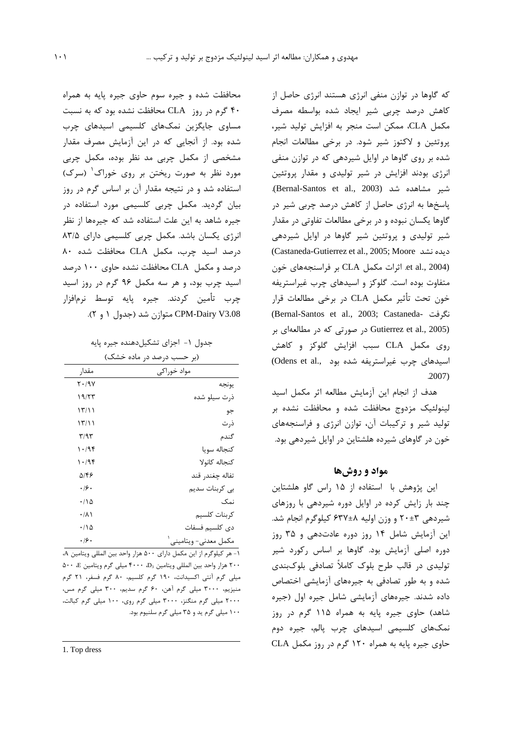که گاوها در توازن منفی انرژی هستند انرژی حاصل از كاهش درصد چربى شير ايجاد شده بواسطه مصرف مكمل CLA، ممكن است منجر به افزايش توليد شير، پروتئین و لاکتوز شیر شود. در برخی مطالعات انجام شده بر روی گاوها در اوایل شیردهی که در توازن منفی انرژی بودند افزایش در شیر تولیدی و مقدار پروتئین شير مشاهده شد (Bernal-Santos et al., 2003). پاسخها به انرژی حاصل از کاهش درصد چربی شیر در گاوها یکسان نبوده و در برخی مطالعات تفاوتی در مقدار شیر تولیدی و پروتئین شیر گاوها در اوایل شیردهی (Castaneda-Gutierrez et al., 2005; Moore ديده نشد et al., 2004). اثرات مكمل CLA بر فراسنجههاى خون متفاوت بوده است. گلوکز و اسیدهای چرب غیراستریفه خون تحت تأثير مكمل CLA در برخي مطالعات قرار (Bernal-Santos et al., 2003; Castaneda- نگرفت Gutierrez et al., 2005) در صورتی که در مطالعهای بر روی مکمل CLA سبب افزایش گلوکز و کاهش اسیدهای چرب غیراستریفه شده بود ..Odens et al  $.2007)$ 

هدف از انجام این آزمایش مطالعه اثر مکمل اسید لینولئیک مزدوج محافظت شده و محافظت نشده بر تولید شیر و ترکیبات آن، توازن انرژی و فراسنجههای خون در گاوهای شیرده هلشتاین در اوایل شیردهی بود.

## مواد و روشها

این پژوهش با استفاده از ۱۵ راس گاو هلشتاین چند بار زایش کرده در اوایل دوره شیردهی با روزهای شیردهی ۲۰±۲۰ و وزن اولیه ۶۳۷±۶۳۷ کیلوگرم انجام شد. این آزمایش شامل ۱۴ روز دوره عادتدهی و ۳۵ روز دوره اصلی آزمایش بود. گاوها بر اساس رکورد شیر تولیدی در قالب طرح بلوک کاملاً تصادفی بلوکبندی شده و به طور تصادفی به جیرههای آزمایشی اختصاص داده شدند. جیرههای آزمایشی شامل جیره اول (جیره شاهد) حاوی جیره پایه به همراه ۱۱۵ گرم در روز نمکھای کلسیمی اسیدھای چرب پالم، جیرہ دوم حاوي جيره يايه به همراه ١٢٠ گرم در روز مكمل CLA

محافظت شده و جیره سوم حاوی جیره پایه به همراه گرم در روز CLA محافظت نشده بود که به نسبت  $f$ ۰ مساوی جایگزین نمکهای کلسیمی اسیدهای چرب شده بود. از آنجایی که در این آزمایش مصرف مقدار مشخصی از مکمل چربی مد نظر بوده، مکمل چربی مورد نظر به صورت ریختن بر روی خوراک<sup>۱</sup> (سرک) استفاده شد و در نتیجه مقدار آن بر اساس گرم در روز بیان گردید. مکمل چربی کلسیمی مورد استفاده در جیره شاهد به این علت استفاده شد که جیرهها از نظر انرژی یکسان باشد. مکمل چربی کلسیمی دارای ۸۳/۵ درصد اسید چرب، مکمل CLA محافظت شده ۸۰ درصد و مکمل CLA محافظت نشده حاوی ۱۰۰ درصد اسید چرب بود، و هر سه مکمل ۹۶ گرم در روز اسید چرب تأمين كردند. جيره پايه توسط نرمافزار CPM-Dairy V3.08 متوازن شد (جدول ۱ و ۲).

| مواد خوراکی<br>مقدار<br>$Y \cdot / 9V$<br>يونجه<br>۱۹/۲۳<br>ذرت سيلو شده<br>$\binom{1}{1}$<br>جو<br>۱۳/۱۱<br>ذر ت<br>گندم<br>۳/۹۳<br>۱۰/۹۴<br>كنجاله سويا<br>كنجاله كانولا<br>۱۰/۹۴<br>تفاله چغندر قند<br>۵۱۴۶<br>۰۱۶۰<br>بى كربنات سديم<br>نمک<br>$\cdot/\wedge \Delta$<br>كربنات كلسيم<br>$\cdot/\lambda$<br>دى كلسيم فسفات<br>۱۱۵.<br>.49. | (بر حسب درصد در ماده خشک) |                      |  |  |  |  |  |
|-----------------------------------------------------------------------------------------------------------------------------------------------------------------------------------------------------------------------------------------------------------------------------------------------------------------------------------------------|---------------------------|----------------------|--|--|--|--|--|
|                                                                                                                                                                                                                                                                                                                                               |                           |                      |  |  |  |  |  |
|                                                                                                                                                                                                                                                                                                                                               |                           |                      |  |  |  |  |  |
|                                                                                                                                                                                                                                                                                                                                               |                           |                      |  |  |  |  |  |
|                                                                                                                                                                                                                                                                                                                                               |                           |                      |  |  |  |  |  |
|                                                                                                                                                                                                                                                                                                                                               |                           |                      |  |  |  |  |  |
|                                                                                                                                                                                                                                                                                                                                               |                           |                      |  |  |  |  |  |
|                                                                                                                                                                                                                                                                                                                                               |                           |                      |  |  |  |  |  |
|                                                                                                                                                                                                                                                                                                                                               |                           |                      |  |  |  |  |  |
|                                                                                                                                                                                                                                                                                                                                               |                           |                      |  |  |  |  |  |
|                                                                                                                                                                                                                                                                                                                                               |                           |                      |  |  |  |  |  |
|                                                                                                                                                                                                                                                                                                                                               |                           |                      |  |  |  |  |  |
|                                                                                                                                                                                                                                                                                                                                               |                           |                      |  |  |  |  |  |
|                                                                                                                                                                                                                                                                                                                                               |                           |                      |  |  |  |  |  |
|                                                                                                                                                                                                                                                                                                                                               |                           | مكمل معدني- ويتاميني |  |  |  |  |  |

جدول ۱- اجزای تشکیل دهنده جیره پایه

١- هر كيلوگرم از اين مكمل داراي ۵۰۰ هزار واحد بين المللي ويتامين A، ۲۰۰ هزار واحد بين المللي ويتامين D3، ۴۰۰۰ ميلي گرم ويتامين E ۵۰۰ میلی گرم آنتی اکسیدانت، ۱۹۰ گرم کلسیم، ۸۰ گرم فسفر، ۲۱ گرم منیزیم، ۳۰۰۰ میلی گرم آهن، ۶۰ گرم سدیم، ۳۰۰ میلی گرم مس، ۲۰۰۰ میلی گرم منگنز، ۳۰۰۰ میلی گرم روی، ۱۰۰ میلی گرم کبالت، ۱۰۰ میلی گرم پد و ۳۵ میلی گرم سلنیوم بود.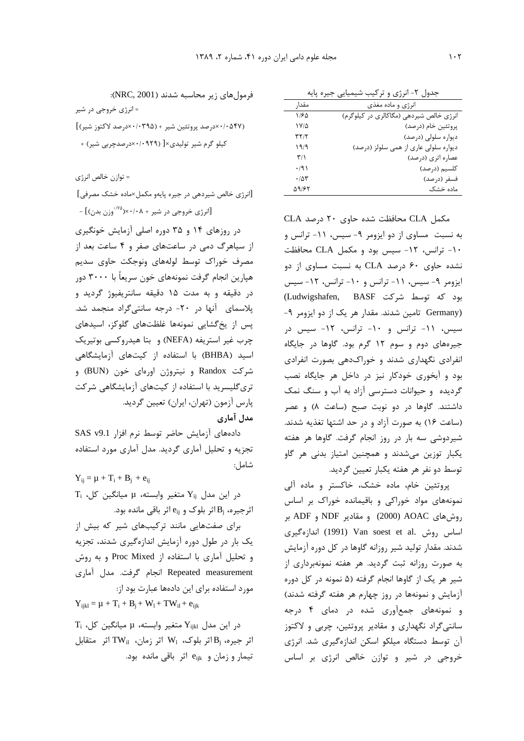جدول ٢- انرژي و ترکيب شيميايي جيره پايه

| مقدا,             | انرژي و ماده مغذي                       |
|-------------------|-----------------------------------------|
| ۱۱۶۵              | انرژی خالص شیردهی (مگاکالری در کیلوگرم) |
| ۱۷/۵              | پروتئين خام (درصد)                      |
| ۳۲/۲              | دیواره سلولی (درصد)                     |
| ۱۹/۹              | دیواره سلولی عاری از همی سلولز (درصد)   |
| ۳/۱               | عصاره اترى (درصد)                       |
| ۰/۹۱              | كلسيم (درصد)                            |
| $\cdot$ /5 $\tau$ | فسفر (درصد)                             |
| 59187             | ماده خشک                                |

مکمل CLA محافظت شده حاوی ۲۰ درصد CLA به نسبت مساوی از دو ایزومر ۹- سیس، ۱۱- ترانس و ١٠- ترانس، ١٢- سيس بود و مكمل CLA محافظت نشده حاوی ۶۰ درصد CLA به نسبت مساوی از دو ایزومر ۹- سیس، ۱۱- ترانس و ۱۰- ترانس، ۱۲- سیس بود که توسط شرکت Ludwigshafen, BASF) Germany) تامین شدند. مقدار هر یک از دو ایزومر ۹-سیس، ١١- ترانس و ١٠- ترانس، ١٢- سیس در جیرههای دوم و سوم ۱۲ گرم بود. گاوها در جایگاه انفرادی نگهداری شدند و خوراکدهی بصورت انفرادی بود و آبخوری خودکار نیز در داخل هر جایگاه نصب گردیده و حیوانات دسترسی آزاد به آب و سنگ نمک داشتند. گاوها در دو نوبت صبح (ساعت ٨) و عصر (ساعت ١۶) به صورت آزاد و در حد اشتها تغذيه شدند. شیردوشی سه بار در روز انجام گرفت. گاوها هر هفته یکبار توزین میشدند و همچنین امتیاز بدنی هر گاو توسط دو نفر هر هفته يكبار تعيين گرديد.

پروتئین خام، ماده خشک، خاکستر و ماده آلی نمونههای مواد خوراکی و باقیمانده خوراک بر اساس روش های AOAC (2000) و مقادیر NDF و ADF بر اساس روش .Van soest et al (1991) اندازهگیری شدند. مقدار تولید شیر روزانه گاوها در کل دوره آزمایش به صورت روزانه ثبت گردید. هر هفته نمونهبرداری از شیر هر یک از گاوها انجام گرفته (۵ نمونه در کل دوره آزمایش و نمونهها در روز چهارم هر هفته گرفته شدند) و نمونههای جمعآوری شده در دمای ۴ درجه سانتي گراد نگهداري و مقادير پروتئين، چربي و لاكتوز آن توسط دستگاه میلکو اسکن اندازهگیری شد. انرژی خروجی در شیر و توازن خالص انرژی بر اساس

فرمول های زیر محاسبه شدند (NRC, 2001): = انرژی خروجی در شیر

(۶۲۷×۰/۰۵۴۷درصد پروتئین شیر + (۰۳۹۵×۰/۰۳درصد لاکتوز شیر)] کیلو گرم شیر تولیدی×[ (۰۹۲۹-۰/۰×درصدچربی شیر) +

= توازن خالص انرژى

[انرژی خالص شیردهی در جیره پایهو مکمل×ماده خشک مصرفی] [انرژی خروجی در شیر + ۰/۰۸×(<sup>۷۵).</sup>وزن بدن)] –

در روزهای ۱۴ و ۳۵ دوره اصلی آزمایش خونگیری از سیاهرگ دمی در ساعتهای صفر و ۴ ساعت بعد از مصرف خوراك توسط لولههاى ونوجكت حاوى سديم هپارین انجام گرفت نمونههای خون سریعاً با ۳۰۰۰ دور در دقیقه و به مدت ۱۵ دقیقه سانتریفیوژ گردید و پلاسمای آنها در ٢٠- درجه سانتي گراد منجمد شد. پس از یخگشایی نمونهها غلظتهای گلوکز، اسیدهای چرب غیر استریفه (NEFA) و بتا هیدروکسی بوتیریک اسید (BHBA) با استفاده از کیتهای آزمایشگاهی شرکت Randox و نیتروژن اورهای خون (BUN) و تری گلیسرید با استفاده از کیتهای آزمایشگاهی شرکت پارس آزمون (تهران، ايران) تعيين گرديد. مدل آماری

دادههای آزمایش حاضر توسط نرم افزار SAS v9.1 تجزیه و تحلیل آماری گردید. مدل آماری مورد استفاده شامل:

 $Y_{ii} = \mu + T_i + B_i + e_{ii}$  $T_i$  در این مدل  $Y_{ij}$  متغیر وابسته،  $\mu$  میانگین کل اثرجیره،  $B_j$ اثر بلوک و  $e_{ij}$  اثر باقی مانده بود.

برای صفتهایی مانند ترکیبهای شیر که بیش از یک بار در طول دوره آزمایش اندازهگیری شدند، تجزیه و تحلیل آماری با استفاده از Proc Mixed و به روش Repeated measurement انجام گرفت. مدل آماری مورد استفاده برای این دادهها عبارت بود از:  $Y_{ijkl} = \mu + T_i + B_i + W_l + TW_{il} + e_{ijk}$ 

 $T_i$  در این مدل  $Y_{ijkl}$  متغیر وابسته،  $\mu$  میانگین کل اثر جيره،  $B_i$ اثر بلوک،  $W_1$  اثر زمان،  $W_{ii}$  اثر متقابل تیمار و زمان و e<sub>ijk</sub> اثر باقی مانده بود.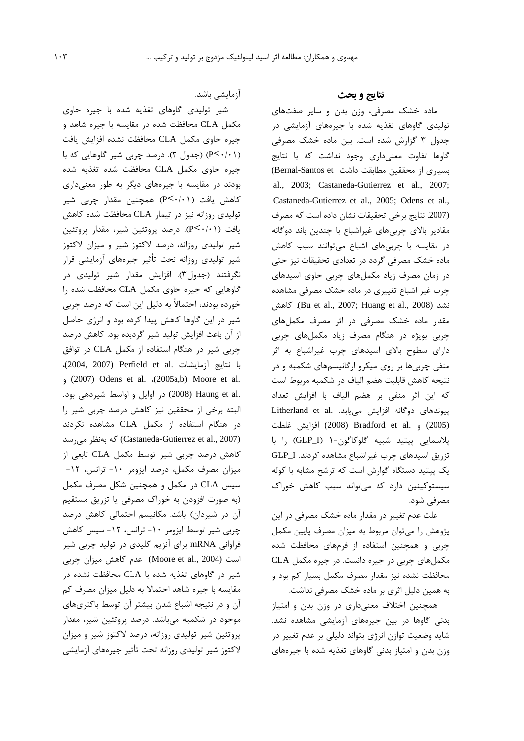آزمایشے<sub>،</sub> باشد.

شیر تولیدی گاوهای تغذیه شده با جیره حاوی مکمل CLA محافظت شده در مقایسه با جیره شاهد و جيره حاوى مكمل CLA محافظت نشده افزايش يافت (P< ·/·۱) (جدول ٣). درصد چربی شیر گاوهایی که با جیره حاوی مکمل CLA محافظت شده تغذیه شده بودند در مقایسه با جیرههای دیگر به طور معنیداری کاهش یافت (P<۰/۰۱) همچنین مقدار چربی شیر تولیدی روزانه نیز در تیمار CLA محافظت شده کاهش یافت (P<۰/۰۱). درصد پروتئین شیر، مقدار پروتئین شیر تولیدی روزانه، درصد لاکتوز شیر و میزان لاکتوز شیر تولیدی روزانه تحت تأثیر جیرههای آزمایشی قرار نگرفتند (جدول۳). افزایش مقدار شیر تولیدی در گاوهایی که جیره حاوی مکمل CLA محافظت شده را خورده بودند، احتمالاً به دلیل این است که درصد چربی شیر در این گاوها کاهش پیدا کرده بود و انرژی حاصل از آن باعث افزایش تولید شیر گردیده بود. کاهش درصد چربی شیر در هنگام استفاده از مکمل CLA در توافق با نتايج آزمايشات .Perfield et al (2004, 2007)، (2007) Odens et al. (2005a,b) Moore et al. .(2008) Haung et al (2008) در اوايل و اواسط شيردهي بود. البته برخی از محققین نیز کاهش درصد چربی شیر را در هنگام استفاده از مکمل CLA مشاهده نکردند Castaneda-Gutierrez et al., 2007) كه بەنظر مى رسد کاهش درصد چربی شیر توسط مکمل CLA تابعی از میزان مصرف مکمل، درصد ایزومر ۱۰- ترانس، ۱۲-سیس CLA در مکمل و همچنین شکل مصرف مکمل (به صورت افزودن به خوراک مصرفی یا تزریق مستقیم آن در شیردان) باشد. مکانیسم احتمالی کاهش درصد چربی شیر توسط ایزومر ۱۰- ترانس، ۱۲- سیس کاهش فراوانی mRNA برای آنزیم کلیدی در تولید چربی شیر است (Moore et al., 2004) عدم كاهش ميزان چربي شیر در گاوهای تغذیه شده با CLA محافظت نشده در مقایسه با جیره شاهد احتمالا به دلیل میزان مصرف کم آن و در نتیجه اشباع شدن بیشتر آن توسط باکتریهای موجود در شکمبه میباشد. درصد پروتئین شیر، مقدار پروتئین شیر تولیدی روزانه، درصد لاکتوز شیر و میزان لاكتوز شير توليدي روزانه تحت تأثير جيرههاي آزمايشي

#### نتايج و بحث

ماده خشک مصرفی، وزن بدن و سایر صفتهای تولیدی گاوهای تغذیه شده با جیرههای آزمایشی در جدول ۳ گزارش شده است. بین ماده خشک مصرفی گاوها تفاوت معنىدارى وجود نداشت كه با نتايج بسیاری از محققین مطابقت داشت Bernal-Santos et) al., 2003; Castaneda-Gutierrez et al., 2007; Castaneda-Gutierrez et al., 2005; Odens et al., (2007. نتايج برخى تحقيقات نشان داده است كه مصرف مقادیر بالای چربیهای غیراشباع با چندین باند دوگانه در مقایسه با چربیهای اشباع می توانند سبب کاهش ماده خشک مصرفی گردد در تعدادی تحقیقات نیز حتی در زمان مصرف زیاد مکملهای چربی حاوی اسیدهای چرب غیر اشباع تغییری در ماده خشک مصرفی مشاهده نشد (Bu et al., 2007; Huang et al., 2008). كاهش مقدار ماده خشک مصرفی در اثر مصرف مکملهای چربی بویژه در هنگام مصرف زیاد مکملهای چربی دارای سطوح بالای اسیدهای چرب غیراشباع به اثر منفی چربیها بر روی میکرو ارگانیسمهای شکمبه و در نتيجه كاهش قابليت هضم الياف در شكمبه مربوط است که این اثر منفی بر هضم الیاف با افزایش تعداد Litherland et al. پیوندهای دوگانه افزایش مییابد. (2005) و .Bradford et al و (2008) افزايش غلظت يلاسمايي ييتيد شبيه گلوكاگون-١ (GLP\_I) را با تزريق اسيدهاى چرب غيراشباع مشاهده كردند. GLP\_I یک پپتید دستگاه گوارش است که ترشح مشابه با کوله سیستوکینین دارد که می تواند سبب کاهش خوراک مصرفي شود.

علت عدم تغییر در مقدار ماده خشک مصرفی در این پژوهش را میتوان مربوط به میزان مصرف پایین مکمل چربی و همچنین استفاده از فرمهای محافظت شده مکملهای چربی در جیره دانست. در جیره مکمل CLA محافظت نشده نیز مقدار مصرف مکمل بسیار کم بود و به همین دلیل اثری بر ماده خشک مصرفی نداشت.

همچنین اختلاف معنیداری در وزن بدن و امتیاز بدنی گاوها در بین جیرههای آزمایشی مشاهده نشد. شاید وضعیت توازن انرژی بتواند دلیلی بر عدم تغییر در وزن بدن و امتياز بدني گاوهاي تغذيه شده با جيرههاي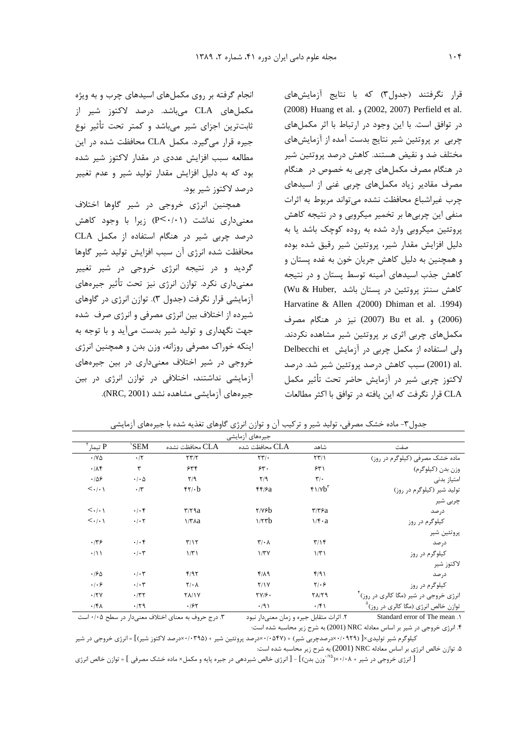انجام گرفته بر روی مکملهای اسیدهای چرب و به ویژه مكملهاى CLA مىباشد. درصد لاكتوز شير از ثابت ترین اجزای شیر می باشد و کمتر تحت تأثیر نوع جیره قرار می گیرد. مکمل CLA محافظت شده در این مطالعه سبب افزایش عددی در مقدار لاکتوز شیر شده بود که به دلیل افزایش مقدار تولید شیر و عدم تغییر درصد لاكتوز شير بود.

همچنین انرژی خروجی در شیر گاوها اختلاف معنى دارى نداشت (P<٠/٠١) زيرا با وجود كاهش درصد چربی شیر در هنگام استفاده از مکمل CLA محافظت شده انرژى آن سبب افزايش توليد شير گاوها گردید و در نتیجه انرژی خروجی در شیر تغییر معنیداری نکرد. توازن انرژی نیز تحت تأثیر جیرههای آزمایشی قرار نگرفت (جدول ۳). توازن انرژی در گاوهای شیرده از اختلاف بین انرژی مصرفی و انرژی صرف شده جهت نگهداری و تولید شیر بدست میآید و با توجه به اینکه خوراک مصرفی روزانه، وزن بدن و همچنین انرژی خروجي در شير اختلاف معني داري در بين جيرههاي آزمایشی نداشتند، اختلافی در توازن انرژی در بین جیرههای آزمایشی مشاهده نشد (NRC, 2001).

قرار نگرفتند (جدول٣) كه با نتايج آزمايشهاى (2008) Huang et al. (2002, 2007) Perfield et al. در توافق است. با این وجود در ارتباط با اثر مکملهای چربی بر پروتئین شیر نتایج بدست آمده از آزمایشهای مختلف ضد و نقیض هستند. کاهش درصد پروتئین شیر در هنگام مصرف مکملهای چربی به خصوص در هنگام مصرف مقادیر زیاد مکملهای چربی غنی از اسیدهای چرب غیراشباع محافظت نشده می تواند مربوط به اثرات منفی این چربیها بر تخمیر میکروبی و در نتیجه کاهش پروتئین میکروبی وارد شده به روده کوچک باشد یا به دلیل افزایش مقدار شیر، پروتئین شیر رقیق شده بوده و همچنین به دلیل کاهش جریان خون به غده پستان و کاهش جذب اسیدهای آمینه توسط پستان و در نتیجه Ols & Huber, المش سنتز پروتئين در پستان باشد Harvatine & Allen (2000) Dhiman et al. .1994) (2006) و .Bu et al (2007) نيز در هنگام مصرف مکملهای چربی اثری بر پروتئین شیر مشاهده نکردند. ولی استفاده از مکمل چربی در آزمایش Delbecchi et .al (2001) سبب كاهش درصد يروتئين شير شد. درصد لاكتوز چربى شير در آزمايش حاضر تحت تأثير مكمل CLA قرار نگرفت كه اين يافته در توافق با اكثر مطالعات

| P تيمار                         | 'SEM                       | CLA محافظت نشده               | محافظت شده $\rm CLA$          | شاهد                               | صفت                                                |
|---------------------------------|----------------------------|-------------------------------|-------------------------------|------------------------------------|----------------------------------------------------|
| $\cdot$ / $\vee$ $\triangle$    | $\cdot$ /٢                 | YY/Y                          | $\Upsilon \Upsilon / \cdot$   | $\Upsilon \Upsilon / \Upsilon$     | ماده خشک مصرفی (کیلوگرم در روز)                    |
| .78                             | ٣                          | 555                           | 55.                           | 551                                | وزن بدن (کیلوگرم)                                  |
| .109                            | $\cdot$ / $\cdot$ $\Delta$ | $Y$ /9                        | Y/9                           | $\mathbf{r}'$ .                    | امتياز بدنى                                        |
| $\langle \cdot   \cdot \rangle$ | $\cdot$ /٣                 | $f\gamma b$                   | f f / a                       | $f1/Vb^T$                          | تولید شیر (کیلوگرم در روز)                         |
|                                 |                            |                               |                               |                                    | چربی شیر                                           |
| $\langle \cdot   \cdot \rangle$ | $.$ $\cdot$ $\uparrow$     | $\mathbf{r}$ / $\mathbf{r}$ a | $Y/Y$ ۶ $b$                   | $\mathbf{r}/\mathbf{r}/\mathbf{a}$ | د, صد                                              |
| $\langle \cdot   \cdot \rangle$ | $\cdot$ / $\cdot$ $\cdot$  | $\frac{1}{\pi}$               | 1/5                           | $\sqrt{f} \cdot a$                 | کیلوگرم در روز                                     |
|                                 |                            |                               |                               |                                    | پروتئين شير                                        |
| .149                            | $.$ $\cdot$ $\uparrow$     | $\Upsilon/\Upsilon$           | $\mathbf{r}/\cdot \mathbf{A}$ | $\Upsilon/\Upsilon$                | د, صد                                              |
| $\cdot/11$                      | $\cdot$ / $\cdot$ $\tau$   | 1/T                           | 1/TV                          | 1/T1                               | کیلوگرم در روز                                     |
|                                 |                            |                               |                               |                                    | لاكتوز شير                                         |
| .180                            | $\cdot/\cdot7$             | f/97                          | $f/\lambda$ 9                 | f/91                               | د, صد                                              |
| $.   . \rangle$                 | $\cdot/\cdot$ ۳            | $Y/\cdot \Lambda$             | Y/1Y                          | $Y/\cdot 5$                        | کیلوگرم در روز                                     |
| .77V                            | $\cdot$ /۳۲                | <b>YA/1Y</b>                  | $\frac{1}{2}$                 | $Y\Lambda/Y9$                      | انرژی خروجی در شیر (مگا کالری در روز) <sup>۴</sup> |
| .141                            | .71                        | .185                          | .791                          | .751                               | توازن خالص انرژی (مگا کالری در روز) <sup>۵</sup>   |

جدول۳- ماده خشک مصرفی، تولید شیر و ترکیب آن و توازن انرژی گاوهای تغذیه شده با جیرههای آزمایشی

۰.۳ درج حروف به معنای اختلاف معنی دار در سطح ۰/۰۵ است ٢. اثرات متقابل جيره و زمان معنىدار نبود Standard error of The mean . ۴. انرژی خروجی در شیر بر اساس معادله NRC (2001) به شرح زیر محاسبه شده است:

کیلوگرم شیر تولیدی×[ (۰۹۲۹/۰×درصدچربی شیر) + (۰۵۴۷/۰×درصد پروتئین شیر + (۰۳۹۵/۰۳مدرصد لاکتوز شیر)] = انرژی خروجی در شیر ۵. توازن خالص انرژی بر اساس معادله NRC (2001) به شرح زیر محاسبه شده است:

[ انرژی خروجی در شیر + ۰/۰۸×(<sup>۷۸</sup> وزن بدن)] - [ انرژی خالص شیردهی در جیره پایه و مکمل× ماده خشک مصرفی ] = توازن خالص انرژی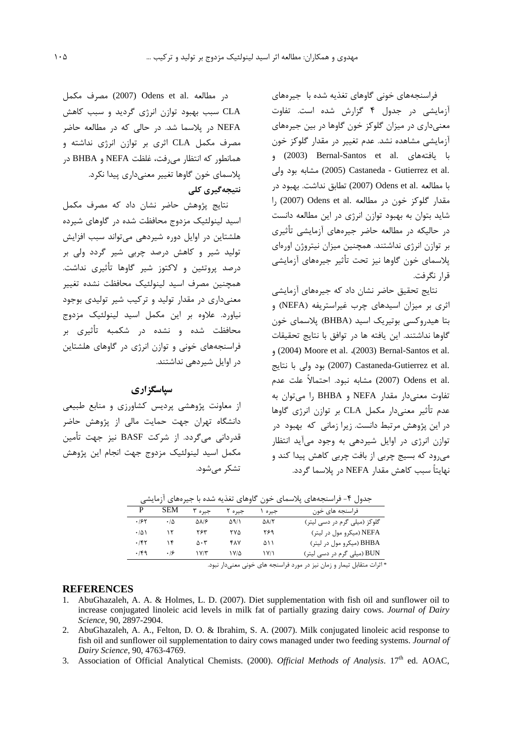فراسنجههای خونی گاوهای تغذیه شده با جیرههای آزمایشی در جدول ۴ گزارش شده است. تفاوت معنی داری در میزان گلوکز خون گاوها در بین جیرههای آزمایشی مشاهده نشد. عدم تغییر در مقدار گلوکز خون با يافتههاي .Bernal-Santos et al (2003) و .castaneda - Gutierrez et al) مشابه بود ولی با مطالعه .Odens et al (2007) تطابق نداشت. بهبود در ار (2007) Odens et al. مقدار گلوکز خون در مطالعه شاید بتوان به بهبود توازن انرژی در این مطالعه دانست در حالیکه در مطالعه حاضر جیرههای آزمایشی تأثیری بر توازن انرژی نداشتند. همچنین میزان نیتروژن اورمای يلاسماي خون گاوها نيز تحت تأثير جيرههاي آزمايشي قرار نگرفت.

نتایج تحقیق حاضر نشان داد که جیرههای آزمایشی اثری بر میزان اسیدهای چرب غیراستریفه (NEFA) و بتا هیدروکسی بوتیریک اسید (BHBA) پلاسمای خون گاوها نداشتند. این یافته ها در توافق با نتایج تحقیقات , (2004) Moore et al. (2003) Bernal-Santos et al. .2007) Castaneda-Gutierrez et al بود ولي با نتايج .Odens et al) مشابه نبود. احتمالاً علت عدم تفاوت معنى دار مقدار NEFA و BHBA را مى توان به عدم تأثير معنى دار مكمل CLA بر توازن انرژى گاوها در این پژوهش مرتبط دانست. زیرا زمانی که بهبود در توازن انرژی در اوایل شیردهی به وجود میآید انتظار می,رود که بسیج چربی از بافت چربی کاهش پیدا کند و نهایتاً سبب کاهش مقدار NEFA در پلاسما گردد.

در مطالعه .Odens et al مصرف مكمل CLA سبب بهبود توازن انرژی گردید و سبب کاهش NEFA در پلاسما شد. در حالی که در مطالعه حاضر مصرف مکمل CLA اثری بر توازن انرژی نداشته و همانطو, که انتظار می فت، غلظت NEFA و BHBA در پلاسمای خون گاوها تغییر معنیداری پیدا نکرد. نتیجەگیری کلی

نتايج پژوهش حاضر نشان داد كه مصرف مكمل اسید لینولئیک مزدوج محافظت شده در گاوهای شیرده هلشتاین در اوایل دوره شیردهی می تواند سبب افزایش تولید شیر و کاهش درصد چربی شیر گردد ولی بر درصد پروتئین و لاکتوز شیر گاوها تأثیری نداشت. همچنین مصرف اسید لینولئیک محافظت نشده تغییر معنیداری در مقدار تولید و ترکیب شیر تولیدی بوجود .<br>نیاورد. علاوه بر این مکمل اسید لینولئیک مزدوج محافظت شده و نشده در شکمبه تأثیری بر فراسنجههای خونی و توازن انرژی در گاوهای هلشتاین در اوایل شیردهی نداشتند.

### سیاسگز اری

از معاونت پژوهشي پرديس كشاورزي و منابع طبيعي دانشگاه تهران جهت حمایت مالی از پژوهش حاضر قدردانی می گردد. از شرکت BASF نیز جهت تأمین مكمل اسيد لينولئيك مزدوج جهت انجام اين يژوهش تشکر مے شود.

جدول ۴- فراسنجههای پلاسمای خون گاوهای تغذیه شده با جیرههای آزمایشی **SEM** P جيره ٣ جيره ٢ فراسنجه های خون جيره ١  $.195$  $\cdot/\Delta$  $\Delta\lambda/\epsilon$  $\Delta$ 9/1  $\Delta\lambda/\Upsilon$ گلوکز (میلی گرم در دسی لیتر) ٢۶٣ ٢٧٥ ٢۶٩  $\cdot/\Delta$  $\gamma$ NEFA (میکرو مول در لیتر)  $\cdot$ /۴۲  $\lambda$  $\Delta \cdot \tau$ **FAY** ۵۱۱ BHBA (میکرو مول در لیتر)  $.149$  $.19$  $1Y/T$  $1 V/\Delta$  $\frac{1}{\sqrt{2}}$ BUN (میلی گرم در دسی لیتر)

\* اثرات متقابل تیمار و زمان نیز در مورد فراسنجه های خونی معنیدار نبود.

#### **REFERENCES**

- AbuGhazaleh, A. A. & Holmes, L. D. (2007). Diet supplementation with fish oil and sunflower oil to increase conjugated linoleic acid levels in milk fat of partially grazing dairy cows. Journal of Dairy Science, 90, 2897-2904.
- 2. AbuGhazaleh, A. A., Felton, D. O. & Ibrahim, S. A. (2007). Milk conjugated linoleic acid response to fish oil and sunflower oil supplementation to dairy cows managed under two feeding systems. Journal of Dairy Science, 90, 4763-4769.
- 3. Association of Official Analytical Chemists. (2000). Official Methods of Analysis. 17th ed. AOAC,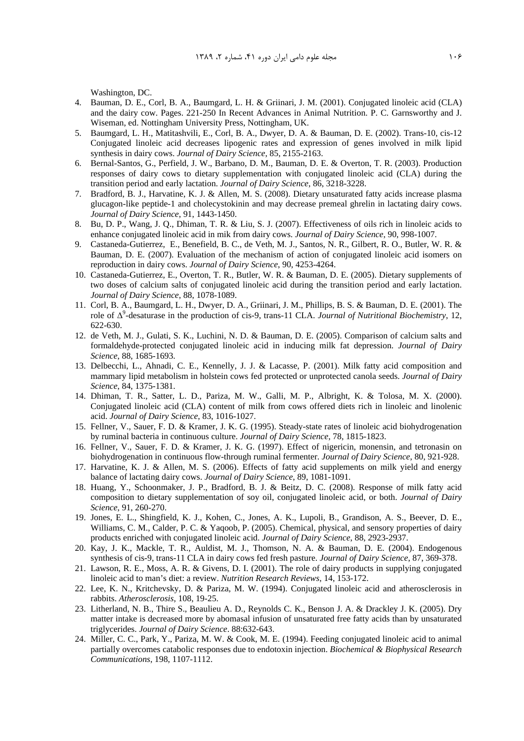Washington, DC.

- 4. Bauman, D. E., Corl, B. A., Baumgard, L. H. & Griinari, J. M. (2001). Conjugated linoleic acid (CLA) and the dairy cow. Pages. 221-250 In Recent Advances in Animal Nutrition. P. C. Garnsworthy and J. Wiseman, ed. Nottingham University Press, Nottingham, UK.
- 5. Baumgard, L. H., Matitashvili, E., Corl, B. A., Dwyer, D. A. & Bauman, D. E. (2002). Trans-10, cis-12 Conjugated linoleic acid decreases lipogenic rates and expression of genes involved in milk lipid synthesis in dairy cows. *Journal of Dairy Science*, 85, 2155-2163.
- 6. Bernal-Santos, G., Perfield, J. W., Barbano, D. M., Bauman, D. E. & Overton, T. R. (2003). Production responses of dairy cows to dietary supplementation with conjugated linoleic acid (CLA) during the transition period and early lactation. *Journal of Dairy Science*, 86, 3218-3228.
- 7. Bradford, B. J., Harvatine, K. J. & Allen, M. S. (2008). Dietary unsaturated fatty acids increase plasma glucagon-like peptide-1 and cholecystokinin and may decrease premeal ghrelin in lactating dairy cows. *Journal of Dairy Science*, 91, 1443-1450.
- 8. Bu, D. P., Wang, J. Q., Dhiman, T. R. & Liu, S. J. (2007). Effectiveness of oils rich in linoleic acids to enhance conjugated linoleic acid in mik from dairy cows. *Journal of Dairy Science*, 90, 998-1007.
- 9. Castaneda-Gutierrez, E., Benefield, B. C., de Veth, M. J., Santos, N. R., Gilbert, R. O., Butler, W. R. & Bauman, D. E. (2007). Evaluation of the mechanism of action of conjugated linoleic acid isomers on reproduction in dairy cows. *Journal of Dairy Science*, 90, 4253-4264.
- 10. Castaneda-Gutierrez, E., Overton, T. R., Butler, W. R. & Bauman, D. E. (2005). Dietary supplements of two doses of calcium salts of conjugated linoleic acid during the transition period and early lactation. *Journal of Dairy Science*, 88, 1078-1089.
- 11. Corl, B. A., Baumgard, L. H., Dwyer, D. A., Griinari, J. M., Phillips, B. S. & Bauman, D. E. (2001). The role of ∆<sup>9</sup> -desaturase in the production of cis-9, trans-11 CLA. *Journal of Nutritional Biochemistry*, 12, 622-630.
- 12. de Veth, M. J., Gulati, S. K., Luchini, N. D. & Bauman, D. E. (2005). Comparison of calcium salts and formaldehyde-protected conjugated linoleic acid in inducing milk fat depression. *Journal of Dairy Science*, 88, 1685-1693.
- 13. Delbecchi, L., Ahnadi, C. E., Kennelly, J. J. & Lacasse, P. (2001). Milk fatty acid composition and mammary lipid metabolism in holstein cows fed protected or unprotected canola seeds. *Journal of Dairy Science*, 84, 1375-1381.
- 14. Dhiman, T. R., Satter, L. D., Pariza, M. W., Galli, M. P., Albright, K. & Tolosa, M. X. (2000). Conjugated linoleic acid (CLA) content of milk from cows offered diets rich in linoleic and linolenic acid. *Journal of Dairy Science*, 83, 1016-1027.
- 15. Fellner, V., Sauer, F. D. & Kramer, J. K. G. (1995). Steady-state rates of linoleic acid biohydrogenation by ruminal bacteria in continuous culture. *Journal of Dairy Science*, 78, 1815-1823.
- 16. Fellner, V., Sauer, F. D. & Kramer, J. K. G. (1997). Effect of nigericin, monensin, and tetronasin on biohydrogenation in continuous flow-through ruminal fermenter. *Journal of Dairy Science*, 80, 921-928.
- 17. Harvatine, K. J. & Allen, M. S. (2006). Effects of fatty acid supplements on milk yield and energy balance of lactating dairy cows. *Journal of Dairy Science*, 89, 1081-1091.
- 18. Huang, Y., Schoonmaker, J. P., Bradford, B. J. & Beitz, D. C. (2008). Response of milk fatty acid composition to dietary supplementation of soy oil, conjugated linoleic acid, or both. *Journal of Dairy Science*, 91, 260-270.
- 19. Jones, E. L., Shingfield, K. J., Kohen, C., Jones, A. K., Lupoli, B., Grandison, A. S., Beever, D. E., Williams, C. M., Calder, P. C. & Yaqoob, P. (2005). Chemical, physical, and sensory properties of dairy products enriched with conjugated linoleic acid. *Journal of Dairy Science*, 88, 2923-2937.
- 20. Kay, J. K., Mackle, T. R., Auldist, M. J., Thomson, N. A. & Bauman, D. E. (2004). Endogenous synthesis of cis-9, trans-11 CLA in dairy cows fed fresh pasture. *Journal of Dairy Science*, 87, 369-378.
- 21. Lawson, R. E., Moss, A. R. & Givens, D. I. (2001). The role of dairy products in supplying conjugated linoleic acid to man's diet: a review. *Nutrition Research Reviews*, 14, 153-172.
- 22. Lee, K. N., Kritchevsky, D. & Pariza, M. W. (1994). Conjugated linoleic acid and atherosclerosis in rabbits. *Atherosclerosis*, 108, 19-25.
- 23. Litherland, N. B., Thire S., Beaulieu A. D., Reynolds C. K., Benson J. A. & Drackley J. K. (2005). Dry matter intake is decreased more by abomasal infusion of unsaturated free fatty acids than by unsaturated triglycerides. *Journal of Dairy Science*. 88:632-643.
- 24. Miller, C. C., Park, Y., Pariza, M. W. & Cook, M. E. (1994). Feeding conjugated linoleic acid to animal partially overcomes catabolic responses due to endotoxin injection. *Biochemical & Biophysical Research Communications*, 198, 1107-1112.